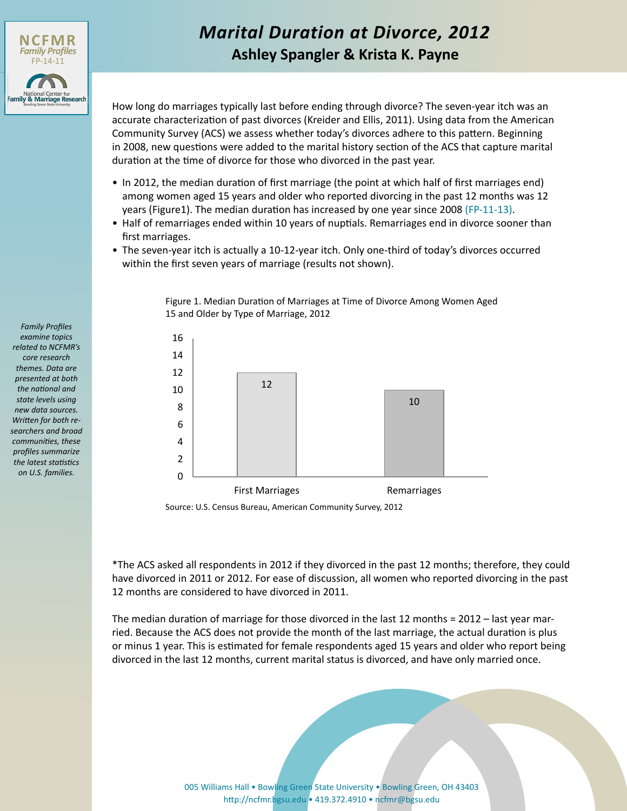

# *Marital Duration at Divorce, 2012* **Ashley Spangler & Krista K. Payne**

How long do marriages typically last before ending through divorce? The seven-year itch was an accurate characterization of past divorces (Kreider and Ellis, 2011). Using data from the American Community Survey (ACS) we assess whether today's divorces adhere to this pattern. Beginning in 2008, new questions were added to the marital history section of the ACS that capture marital duration at the time of divorce for those who divorced in the past year.

- In 2012, the median duration of first marriage (the point at which half of first marriages end) among women aged 15 years and older who reported divorcing in the past 12 months was 12 years (Figure1). The median duration has increased by one year since 2008 ([FP-11-13](http://www.bgsu.edu/content/dam/BGSU/college-of-arts-and-sciences/NCFMR/documents/FP/FP-11-13.pdf)).
- Half of remarriages ended within 10 years of nuptials. Remarriages end in divorce sooner than first marriages.
- The seven-year itch is actually a 10-12-year itch. Only one-third of today's divorces occurred within the first seven years of marriage (results not shown).



Figure 1. Median Duration of Marriages at Time of Divorce Among Women Aged 15 and Older by Type of Marriage, 2012

Source: U.S. Census Bureau, American Community Survey, 2012

\*The ACS asked all respondents in 2012 if they divorced in the past 12 months; therefore, they could have divorced in 2011 or 2012. For ease of discussion, all women who reported divorcing in the past 12 months are considered to have divorced in 2011.

The median duration of marriage for those divorced in the last 12 months = 2012 – last year married. Because the ACS does not provide the month of the last marriage, the actual duration is plus or minus 1 year. This is estimated for female respondents aged 15 years and older who report being divorced in the last 12 months, current marital status is divorced, and have only married once.

> [005 Williams Hall • Bowling Green State University • Bowling Green, OH 43403](http://www.bgsu.edu/ncfmr.html) http://ncfmr.bgsu.edu • 419.372.4910 • ncfmr@bgsu.edu

*Family Profiles examine topics related to NCFMR's core research themes. Data are presented at both the national and state levels using new data sources. Written for both researchers and broad communities, these profiles summarize the latest statistics on U.S. families.*